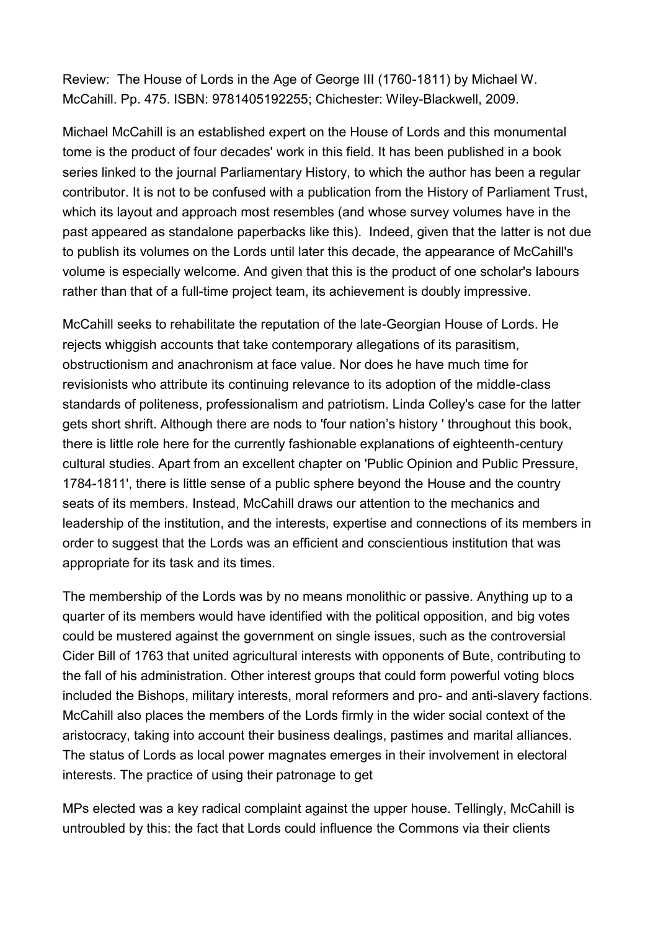Review: The House of Lords in the Age of George III (1760-1811) by Michael W. McCahill. Pp. 475. ISBN: 9781405192255; Chichester: Wiley-Blackwell, 2009.

Michael McCahill is an established expert on the House of Lords and this monumental tome is the product of four decades' work in this field. It has been published in a book series linked to the journal Parliamentary History, to which the author has been a regular contributor. It is not to be confused with a publication from the History of Parliament Trust, which its layout and approach most resembles (and whose survey volumes have in the past appeared as standalone paperbacks like this). Indeed, given that the latter is not due to publish its volumes on the Lords until later this decade, the appearance of McCahill's volume is especially welcome. And given that this is the product of one scholar's labours rather than that of a full-time project team, its achievement is doubly impressive.

McCahill seeks to rehabilitate the reputation of the late-Georgian House of Lords. He rejects whiggish accounts that take contemporary allegations of its parasitism, obstructionism and anachronism at face value. Nor does he have much time for revisionists who attribute its continuing relevance to its adoption of the middle-class standards of politeness, professionalism and patriotism. Linda Colley's case for the latter gets short shrift. Although there are nods to 'four nation's history ' throughout this book, there is little role here for the currently fashionable explanations of eighteenth-century cultural studies. Apart from an excellent chapter on 'Public Opinion and Public Pressure, 1784-1811', there is little sense of a public sphere beyond the House and the country seats of its members. Instead, McCahill draws our attention to the mechanics and leadership of the institution, and the interests, expertise and connections of its members in order to suggest that the Lords was an efficient and conscientious institution that was appropriate for its task and its times.

The membership of the Lords was by no means monolithic or passive. Anything up to a quarter of its members would have identified with the political opposition, and big votes could be mustered against the government on single issues, such as the controversial Cider Bill of 1763 that united agricultural interests with opponents of Bute, contributing to the fall of his administration. Other interest groups that could form powerful voting blocs included the Bishops, military interests, moral reformers and pro- and anti-slavery factions. McCahill also places the members of the Lords firmly in the wider social context of the aristocracy, taking into account their business dealings, pastimes and marital alliances. The status of Lords as local power magnates emerges in their involvement in electoral interests. The practice of using their patronage to get

MPs elected was a key radical complaint against the upper house. Tellingly, McCahill is untroubled by this: the fact that Lords could influence the Commons via their clients